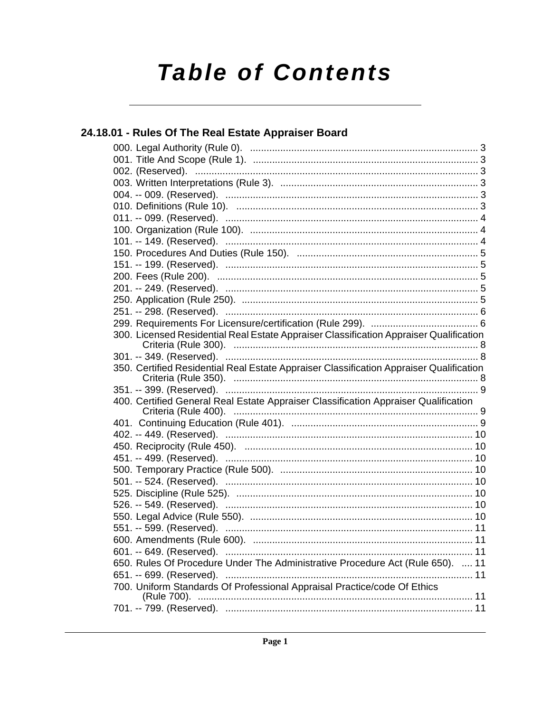# **Table of Contents**

| 24.18.01 - Rules Of The Real Estate Appraiser Board                                     |  |
|-----------------------------------------------------------------------------------------|--|
|                                                                                         |  |
|                                                                                         |  |
|                                                                                         |  |
|                                                                                         |  |
|                                                                                         |  |
|                                                                                         |  |
|                                                                                         |  |
|                                                                                         |  |
|                                                                                         |  |
|                                                                                         |  |
|                                                                                         |  |
|                                                                                         |  |
|                                                                                         |  |
|                                                                                         |  |
|                                                                                         |  |
|                                                                                         |  |
| 300. Licensed Residential Real Estate Appraiser Classification Appraiser Qualification  |  |
|                                                                                         |  |
| 350. Certified Residential Real Estate Appraiser Classification Appraiser Qualification |  |
|                                                                                         |  |
| 400. Certified General Real Estate Appraiser Classification Appraiser Qualification     |  |
|                                                                                         |  |
|                                                                                         |  |
|                                                                                         |  |
|                                                                                         |  |
|                                                                                         |  |
|                                                                                         |  |
|                                                                                         |  |
|                                                                                         |  |
|                                                                                         |  |
|                                                                                         |  |
|                                                                                         |  |
|                                                                                         |  |
| 650. Rules Of Procedure Under The Administrative Procedure Act (Rule 650).  11          |  |
|                                                                                         |  |
| 700. Uniform Standards Of Professional Appraisal Practice/code Of Ethics                |  |
|                                                                                         |  |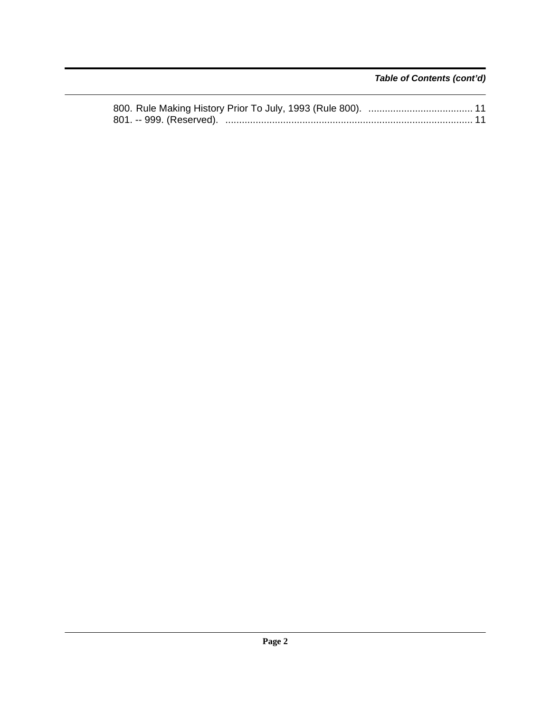*Table of Contents (cont'd)*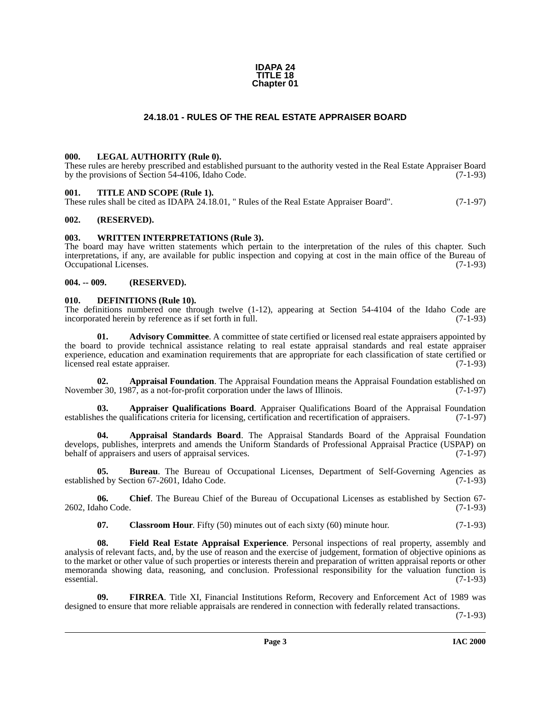#### **IDAPA 24 TITLE 18 Chapter 01**

### **24.18.01 - RULES OF THE REAL ESTATE APPRAISER BOARD**

#### <span id="page-2-17"></span><span id="page-2-1"></span><span id="page-2-0"></span>**000. LEGAL AUTHORITY (Rule 0).**

These rules are hereby prescribed and established pursuant to the authority vested in the Real Estate Appraiser Board by the provisions of Section 54-4106, Idaho Code. (7-1-93)

#### <span id="page-2-18"></span><span id="page-2-2"></span>**001. TITLE AND SCOPE (Rule 1).**

These rules shall be cited as IDAPA 24.18.01, " Rules of the Real Estate Appraiser Board". (7-1-97)

#### <span id="page-2-3"></span>**002. (RESERVED).**

#### <span id="page-2-19"></span><span id="page-2-4"></span>**003. WRITTEN INTERPRETATIONS (Rule 3).**

The board may have written statements which pertain to the interpretation of the rules of this chapter. Such interpretations, if any, are available for public inspection and copying at cost in the main office of the Bureau of Occupational Licenses. (7-1-93)

#### <span id="page-2-5"></span>**004. -- 009. (RESERVED).**

#### <span id="page-2-14"></span><span id="page-2-6"></span>**010. DEFINITIONS (Rule 10).**

The definitions numbered one through twelve  $(1-12)$ , appearing at Section 54-4104 of the Idaho Code are incorporated herein by reference as if set forth in full.  $(7-1-93)$ incorporated herein by reference as if set forth in full.

<span id="page-2-7"></span>Advisory Committee. A committee of state certified or licensed real estate appraisers appointed by the board to provide technical assistance relating to real estate appraisal standards and real estate appraiser experience, education and examination requirements that are appropriate for each classification of state certified or licensed real estate appraiser. (7-1-93)

<span id="page-2-8"></span>**02. Appraisal Foundation**. The Appraisal Foundation means the Appraisal Foundation established on November 30, 1987, as a not-for-profit corporation under the laws of Illinois. (7-1-97)

<span id="page-2-10"></span>**03. Appraiser Qualifications Board**. Appraiser Qualifications Board of the Appraisal Foundation establishes the qualifications criteria for licensing, certification and recertification of appraisers. (7-1-97)

<span id="page-2-9"></span>**04. Appraisal Standards Board**. The Appraisal Standards Board of the Appraisal Foundation develops, publishes, interprets and amends the Uniform Standards of Professional Appraisal Practice (USPAP) on behalf of appraisers and users of appraisal services. (7-1-97) behalf of appraisers and users of appraisal services.

<span id="page-2-11"></span>**05. Bureau**. The Bureau of Occupational Licenses, Department of Self-Governing Agencies as established by Section 67-2601, Idaho Code. (7-1-93)

**06. Chief**. The Bureau Chief of the Bureau of Occupational Licenses as established by Section 67- 2602, Idaho Code. (7-1-93)

<span id="page-2-15"></span><span id="page-2-13"></span><span id="page-2-12"></span>**07.** Classroom Hour. Fifty (50) minutes out of each sixty (60) minute hour. (7-1-93)

**08. Field Real Estate Appraisal Experience**. Personal inspections of real property, assembly and analysis of relevant facts, and, by the use of reason and the exercise of judgement, formation of objective opinions as to the market or other value of such properties or interests therein and preparation of written appraisal reports or other memoranda showing data, reasoning, and conclusion. Professional responsibility for the valuation function is essential. (7-1-93)

<span id="page-2-16"></span>**09. FIRREA**. Title XI, Financial Institutions Reform, Recovery and Enforcement Act of 1989 was designed to ensure that more reliable appraisals are rendered in connection with federally related transactions.

(7-1-93)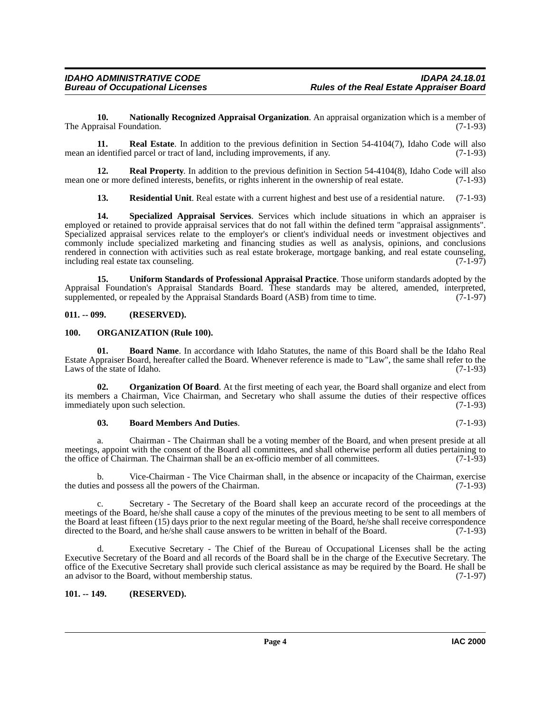<span id="page-3-7"></span>**10. Nationally Recognized Appraisal Organization**. An appraisal organization which is a member of The Appraisal Foundation. (7-1-93)

<span id="page-3-10"></span>**11. Real Estate**. In addition to the previous definition in Section 54-4104(7), Idaho Code will also mean an identified parcel or tract of land, including improvements, if any. (7-1-93)

**12. Real Property**. In addition to the previous definition in Section 54-4104(8), Idaho Code will also mean one or more defined interests, benefits, or rights inherent in the ownership of real estate. (7-1-93)

<span id="page-3-14"></span><span id="page-3-12"></span><span id="page-3-11"></span>**13. Residential Unit**. Real estate with a current highest and best use of a residential nature. (7-1-93)

**14. Specialized Appraisal Services**. Services which include situations in which an appraiser is employed or retained to provide appraisal services that do not fall within the defined term "appraisal assignments". Specialized appraisal services relate to the employer's or client's individual needs or investment objectives and commonly include specialized marketing and financing studies as well as analysis, opinions, and conclusions rendered in connection with activities such as real estate brokerage, mortgage banking, and real estate counseling, including real estate tax counseling. (7-1-97)

<span id="page-3-15"></span>**15. Uniform Standards of Professional Appraisal Practice**. Those uniform standards adopted by the Appraisal Foundation's Appraisal Standards Board. These standards may be altered, amended, interpreted, supplemented, or repealed by the Appraisal Standards Board (ASB) from time to time. (7-1-97) supplemented, or repealed by the Appraisal Standards Board  $(ASB)$  from time to time.

#### <span id="page-3-0"></span>**011. -- 099. (RESERVED).**

#### <span id="page-3-8"></span><span id="page-3-1"></span>**100. ORGANIZATION (Rule 100).**

<span id="page-3-4"></span>**01. Board Name**. In accordance with Idaho Statutes, the name of this Board shall be the Idaho Real Estate Appraiser Board, hereafter called the Board. Whenever reference is made to "Law", the same shall refer to the Laws of the state of Idaho. (7-1-93)

**02. Organization Of Board**. At the first meeting of each year, the Board shall organize and elect from its members a Chairman, Vice Chairman, and Secretary who shall assume the duties of their respective offices immediately upon such selection.

#### <span id="page-3-16"></span><span id="page-3-9"></span><span id="page-3-5"></span><span id="page-3-3"></span>**03. Board Members And Duties**. (7-1-93)

a. Chairman - The Chairman shall be a voting member of the Board, and when present preside at all meetings, appoint with the consent of the Board all committees, and shall otherwise perform all duties pertaining to the office of Chairman. The Chairman shall be an ex-officio member of all committees. (7-1-93) the office of Chairman. The Chairman shall be an ex-officio member of all committees.

b. Vice-Chairman - The Vice Chairman shall, in the absence or incapacity of the Chairman, exercise the duties and possess all the powers of the Chairman. (7-1-93)

<span id="page-3-13"></span>c. Secretary - The Secretary of the Board shall keep an accurate record of the proceedings at the meetings of the Board, he/she shall cause a copy of the minutes of the previous meeting to be sent to all members of the Board at least fifteen (15) days prior to the next regular meeting of the Board, he/she shall receive correspondence directed to the Board, and he/she shall cause answers to be written in behalf of the Board. (7-1-93)

<span id="page-3-6"></span>Executive Secretary - The Chief of the Bureau of Occupational Licenses shall be the acting Executive Secretary of the Board and all records of the Board shall be in the charge of the Executive Secretary. The office of the Executive Secretary shall provide such clerical assistance as may be required by the Board. He shall be an advisor to the Board, without membership status. (7-1-97)

#### <span id="page-3-2"></span>**101. -- 149. (RESERVED).**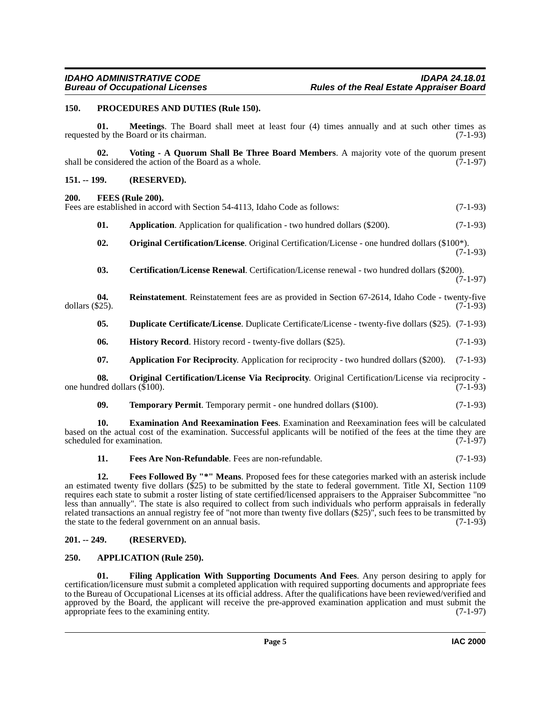#### <span id="page-4-17"></span><span id="page-4-0"></span>**150. PROCEDURES AND DUTIES (Rule 150).**

**01. Meetings**. The Board shall meet at least four (4) times annually and at such other times as requested by the Board or its chairman. (7-1-93)

<span id="page-4-20"></span>**02.** Voting - A Quorum Shall Be Three Board Members. A majority vote of the quorum present considered the action of the Board as a whole. (7-1-97) shall be considered the action of the Board as a whole.

#### <span id="page-4-1"></span>**151. -- 199. (RESERVED).**

#### <span id="page-4-10"></span><span id="page-4-2"></span>**200. FEES (Rule 200).**

|              | Fees are established in accord with Section 54-4113, Idaho Code as follows:                                                                                          | $(7-1-93)$ |
|--------------|----------------------------------------------------------------------------------------------------------------------------------------------------------------------|------------|
| 01.          | <b>Application.</b> Application for qualification - two hundred dollars (\$200).                                                                                     | $(7-1-93)$ |
| 02.          | <b>Original Certification/License.</b> Original Certification/License - one hundred dollars (\$100 <sup>*</sup> ).                                                   | $(7-1-93)$ |
| $\mathbf{A}$ | $\overline{1}$ $\overline{1}$ $\overline{1}$ $\overline{1}$ $\overline{1}$ $\overline{1}$ $\overline{1}$ $\overline{1}$ $\overline{1}$ $\overline{1}$ $\overline{1}$ | (0.000)    |

<span id="page-4-18"></span><span id="page-4-15"></span><span id="page-4-7"></span>**03. Certification/License Renewal**. Certification/License renewal - two hundred dollars (\$200).  $(7-1-97)$ 

**04.** Reinstatement. Reinstatement fees are as provided in Section 67-2614, Idaho Code - twenty-five  $(7-1-93)$ dollars  $(\$25)$ .

- <span id="page-4-8"></span>**05. Duplicate Certificate/License**. Duplicate Certificate/License - twenty-five dollars (\$25). (7-1-93)
- <span id="page-4-14"></span>**06. History Record**. History record - twenty-five dollars (\$25). (7-1-93)
- <span id="page-4-16"></span><span id="page-4-6"></span>**07. Application For Reciprocity**. Application for reciprocity - two hundred dollars (\$200). (7-1-93)

**08. Original Certification/License Via Reciprocity**. Original Certification/License via reciprocity one hundred dollars  $(\$100)$ . (7-1-93)

<span id="page-4-19"></span><span id="page-4-9"></span>**09. Temporary Permit**. Temporary permit - one hundred dollars (\$100). (7-1-93)

**10. Examination And Reexamination Fees**. Examination and Reexamination fees will be calculated based on the actual cost of the examination. Successful applicants will be notified of the fees at the time they are scheduled for examination. (7-1-97)

<span id="page-4-12"></span><span id="page-4-11"></span>**11. Fees Are Non-Refundable**. Fees are non-refundable. (7-1-93)

**12. Fees Followed By "\*" Means**. Proposed fees for these categories marked with an asterisk include an estimated twenty five dollars  $(\$25)$  to be submitted by the state to federal government. Title XI, Section 1109 requires each state to submit a roster listing of state certified/licensed appraisers to the Appraiser Subcommittee "no less than annually". The state is also required to collect from such individuals who perform appraisals in federally related transactions an annual registry fee of "not more than twenty five dollars (\$25)", such fees to be transmitted by the state to the federal government on an annual basis. (7-1-93)

#### <span id="page-4-3"></span>**201. -- 249. (RESERVED).**

#### <span id="page-4-5"></span><span id="page-4-4"></span>**250. APPLICATION (Rule 250).**

<span id="page-4-13"></span>**01. Filing Application With Supporting Documents And Fees**. Any person desiring to apply for certification/licensure must submit a completed application with required supporting documents and appropriate fees to the Bureau of Occupational Licenses at its official address. After the qualifications have been reviewed/verified and approved by the Board, the applicant will receive the pre-approved examination application and must submit the appropriate fees to the examining entity. (7-1-97)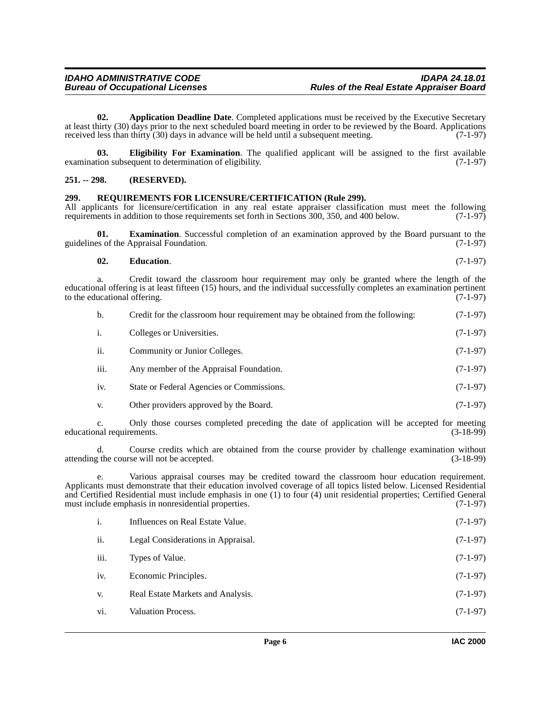<span id="page-5-2"></span>**02.** Application Deadline Date. Completed applications must be received by the Executive Secretary at least thirty (30) days prior to the next scheduled board meeting in order to be reviewed by the Board. Applications received less than thirty (30) days in advance will be held until a subsequent meeting. (7-1-97)

<span id="page-5-4"></span>**03. Eligibility For Examination**. The qualified applicant will be assigned to the first available tion subsequent to determination of eligibility. (7-1-97) examination subsequent to determination of eligibility.

#### <span id="page-5-0"></span>**251. -- 298. (RESERVED).**

#### <span id="page-5-5"></span><span id="page-5-1"></span>**299. REQUIREMENTS FOR LICENSURE/CERTIFICATION (Rule 299).**

All applicants for licensure/certification in any real estate appraiser classification must meet the following requirements in addition to those requirements set forth in Sections 300, 350, and 400 below. (7-1-97) requirements in addition to those requirements set forth in Sections 300, 350, and 400 below.

**01. Examination**. Successful completion of an examination approved by the Board pursuant to the guidelines of the Appraisal Foundation. (7-1-97)

#### <span id="page-5-3"></span>**02. Education**. (7-1-97)

a. Credit toward the classroom hour requirement may only be granted where the length of the educational offering is at least fifteen (15) hours, and the individual successfully completes an examination pertinent to the educational offering. (7-1-97) to the educational offering.

| b.   | Credit for the classroom hour requirement may be obtained from the following: | $(7-1-97)$ |
|------|-------------------------------------------------------------------------------|------------|
| i.   | Colleges or Universities.                                                     | $(7-1-97)$ |
| ii.  | Community or Junior Colleges.                                                 | $(7-1-97)$ |
| iii. | Any member of the Appraisal Foundation.                                       | $(7-1-97)$ |
| iv.  | State or Federal Agencies or Commissions.                                     | $(7-1-97)$ |
| V.   | Other providers approved by the Board.                                        | $(7-1-97)$ |

c. Only those courses completed preceding the date of application will be accepted for meeting educational requirements.

d. Course credits which are obtained from the course provider by challenge examination without  $\gamma$  the course will not be accepted. (3-18-99) attending the course will not be accepted.

e. Various appraisal courses may be credited toward the classroom hour education requirement. Applicants must demonstrate that their education involved coverage of all topics listed below. Licensed Residential and Certified Residential must include emphasis in one (1) to four (4) unit residential properties; Certified General must include emphasis in nonresidential properties. (7-1-97)

| i.   | Influences on Real Estate Value.   | $(7-1-97)$ |
|------|------------------------------------|------------|
| ii.  | Legal Considerations in Appraisal. | $(7-1-97)$ |
| iii. | Types of Value.                    | $(7-1-97)$ |
| iv.  | Economic Principles.               | $(7-1-97)$ |
| V.   | Real Estate Markets and Analysis.  | $(7-1-97)$ |
| vi.  | <b>Valuation Process.</b>          | $(7-1-97)$ |
|      |                                    |            |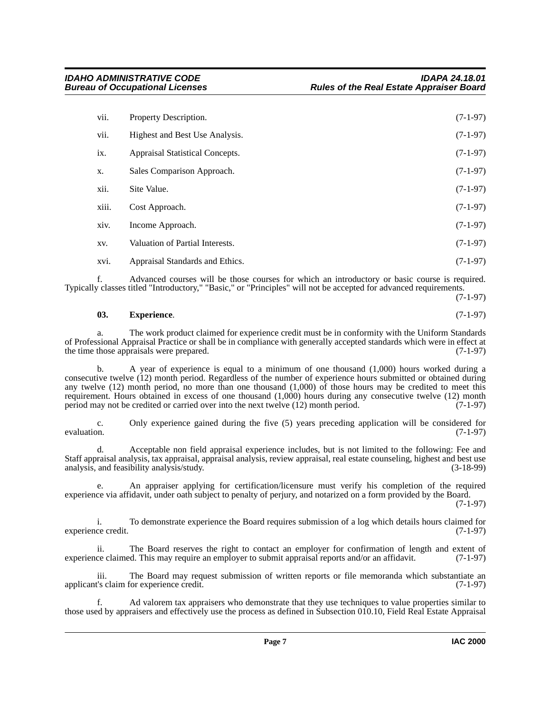| vii.  | Property Description.           | $(7-1-97)$ |
|-------|---------------------------------|------------|
| vii.  | Highest and Best Use Analysis.  | $(7-1-97)$ |
| ix.   | Appraisal Statistical Concepts. | $(7-1-97)$ |
| X.    | Sales Comparison Approach.      | $(7-1-97)$ |
| xii.  | Site Value.                     | $(7-1-97)$ |
| xiii. | Cost Approach.                  | $(7-1-97)$ |
| xiv.  | Income Approach.                | $(7-1-97)$ |
| XV.   | Valuation of Partial Interests. | $(7-1-97)$ |
| xvi.  | Appraisal Standards and Ethics. | $(7-1-97)$ |

f. Advanced courses will be those courses for which an introductory or basic course is required. Typically classes titled "Introductory," "Basic," or "Principles" will not be accepted for advanced requirements.

## (7-1-97)

#### **03. Experience**. (7-1-97)

a. The work product claimed for experience credit must be in conformity with the Uniform Standards of Professional Appraisal Practice or shall be in compliance with generally accepted standards which were in effect at the time those appraisals were prepared. (7-1-97) the time those appraisals were prepared.

b. A year of experience is equal to a minimum of one thousand (1,000) hours worked during a consecutive twelve (12) month period. Regardless of the number of experience hours submitted or obtained during any twelve (12) month period, no more than one thousand (1,000) of those hours may be credited to meet this requirement. Hours obtained in excess of one thousand (1,000) hours during any consecutive twelve (12) month period may not be credited or carried over into the next twelve (12) month period. (7-1-97)

c. Only experience gained during the five (5) years preceding application will be considered for evaluation.  $(7-1-97)$ 

d. Acceptable non field appraisal experience includes, but is not limited to the following: Fee and Staff appraisal analysis, tax appraisal, appraisal analysis, review appraisal, real estate counseling, highest and best use analysis, and feasibility analysis/study. (3-18-99)

An appraiser applying for certification/licensure must verify his completion of the required experience via affidavit, under oath subject to penalty of perjury, and notarized on a form provided by the Board.

(7-1-97)

i. To demonstrate experience the Board requires submission of a log which details hours claimed for experience credit. (7-1-97)

ii. The Board reserves the right to contact an employer for confirmation of length and extent of experience claimed. This may require an employer to submit appraisal reports and/or an affidavit. (7-1-97)

iii. The Board may request submission of written reports or file memoranda which substantiate an applicant's claim for experience credit. (7-1-97)

f. Ad valorem tax appraisers who demonstrate that they use techniques to value properties similar to those used by appraisers and effectively use the process as defined in Subsection 010.10, Field Real Estate Appraisal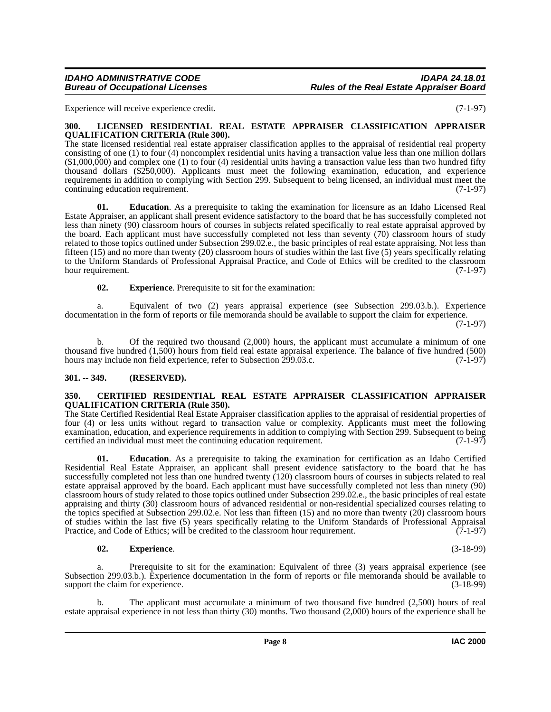#### *IDAHO ADMINISTRATIVE CODE IDAPA 24.18.01* **Rules of the Real Estate Appraiser Board**

Experience will receive experience credit. (7-1-97)

#### <span id="page-7-4"></span><span id="page-7-0"></span>**300. LICENSED RESIDENTIAL REAL ESTATE APPRAISER CLASSIFICATION APPRAISER QUALIFICATION CRITERIA (Rule 300).**

The state licensed residential real estate appraiser classification applies to the appraisal of residential real property consisting of one (1) to four (4) noncomplex residential units having a transaction value less than one million dollars  $(1,000,000)$  and complex one (1) to four (4) residential units having a transaction value less than two hundred fifty thousand dollars (\$250,000). Applicants must meet the following examination, education, and experience requirements in addition to complying with Section 299. Subsequent to being licensed, an individual must meet the continuing education requirement. (7-1-97)

**01. Education**. As a prerequisite to taking the examination for licensure as an Idaho Licensed Real Estate Appraiser, an applicant shall present evidence satisfactory to the board that he has successfully completed not less than ninety (90) classroom hours of courses in subjects related specifically to real estate appraisal approved by the board. Each applicant must have successfully completed not less than seventy (70) classroom hours of study related to those topics outlined under Subsection 299.02.e., the basic principles of real estate appraising. Not less than fifteen (15) and no more than twenty (20) classroom hours of studies within the last five (5) years specifically relating to the Uniform Standards of Professional Appraisal Practice, and Code of Ethics will be credited to the classroom hour requirement. (7-1-97)

**02. Experience**. Prerequisite to sit for the examination:

a. Equivalent of two (2) years appraisal experience (see Subsection 299.03.b.). Experience documentation in the form of reports or file memoranda should be available to support the claim for experience.

(7-1-97)

b. Of the required two thousand (2,000) hours, the applicant must accumulate a minimum of one thousand five hundred (1,500) hours from field real estate appraisal experience. The balance of five hundred (500) hours may include non field experience, refer to Subsection 299.03.c. (7-1-97)

#### <span id="page-7-1"></span>**301. -- 349. (RESERVED).**

#### <span id="page-7-3"></span><span id="page-7-2"></span>**350. CERTIFIED RESIDENTIAL REAL ESTATE APPRAISER CLASSIFICATION APPRAISER QUALIFICATION CRITERIA (Rule 350).**

The State Certified Residential Real Estate Appraiser classification applies to the appraisal of residential properties of four (4) or less units without regard to transaction value or complexity. Applicants must meet the following examination, education, and experience requirements in addition to complying with Section 299. Subsequent to being certified an individual must meet the continuing education requirement. (7-1-97)

**01. Education**. As a prerequisite to taking the examination for certification as an Idaho Certified Residential Real Estate Appraiser, an applicant shall present evidence satisfactory to the board that he has successfully completed not less than one hundred twenty (120) classroom hours of courses in subjects related to real estate appraisal approved by the board. Each applicant must have successfully completed not less than ninety (90) classroom hours of study related to those topics outlined under Subsection 299.02.e., the basic principles of real estate appraising and thirty (30) classroom hours of advanced residential or non-residential specialized courses relating to the topics specified at Subsection 299.02.e. Not less than fifteen (15) and no more than twenty (20) classroom hours of studies within the last five (5) years specifically relating to the Uniform Standards of Professional Appraisal Practice, and Code of Ethics; will be credited to the classroom hour requirement. (7-1-97)

#### **02. Experience**. (3-18-99)

Prerequisite to sit for the examination: Equivalent of three (3) years appraisal experience (see Subsection 299.03.b.). Experience documentation in the form of reports or file memoranda should be available to support the claim for experience. (3-18-99)

The applicant must accumulate a minimum of two thousand five hundred  $(2,500)$  hours of real estate appraisal experience in not less than thirty (30) months. Two thousand (2,000) hours of the experience shall be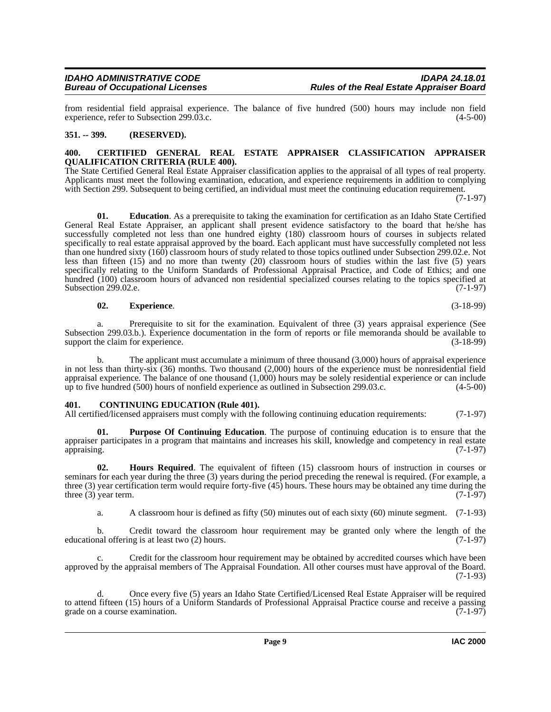from residential field appraisal experience. The balance of five hundred (500) hours may include non field experience, refer to Subsection 299.03.c. experience, refer to Subsection 299.03.c.

#### <span id="page-8-0"></span>**351. -- 399. (RESERVED).**

#### <span id="page-8-3"></span><span id="page-8-1"></span>**400. CERTIFIED GENERAL REAL ESTATE APPRAISER CLASSIFICATION APPRAISER QUALIFICATION CRITERIA (RULE 400).**

The State Certified General Real Estate Appraiser classification applies to the appraisal of all types of real property. Applicants must meet the following examination, education, and experience requirements in addition to complying with Section 299. Subsequent to being certified, an individual must meet the continuing education requirement.

(7-1-97)

**01. Education**. As a prerequisite to taking the examination for certification as an Idaho State Certified General Real Estate Appraiser, an applicant shall present evidence satisfactory to the board that he/she has successfully completed not less than one hundred eighty (180) classroom hours of courses in subjects related specifically to real estate appraisal approved by the board. Each applicant must have successfully completed not less than one hundred sixty (160) classroom hours of study related to those topics outlined under Subsection 299.02.e. Not less than fifteen (15) and no more than twenty (20) classroom hours of studies within the last five (5) years specifically relating to the Uniform Standards of Professional Appraisal Practice, and Code of Ethics; and one hundred (100) classroom hours of advanced non residential specialized courses relating to the topics specified at Subsection 299.02.e. (7-1-97)

**02. Experience**. (3-18-99)

a. Prerequisite to sit for the examination. Equivalent of three (3) years appraisal experience (See Subsection 299.03.b.). Experience documentation in the form of reports or file memoranda should be available to support the claim for experience. (3-18-99)

The applicant must accumulate a minimum of three thousand (3,000) hours of appraisal experience in not less than thirty-six (36) months. Two thousand (2,000) hours of the experience must be nonresidential field appraisal experience. The balance of one thousand  $(1,000)$  hours may be solely residential experience or can include up to five hundred  $(500)$  hours of nonfield experience as outlined in Subsection 299.03.c.  $(4-5-00)$ up to five hundred  $(500)$  hours of nonfield experience as outlined in Subsection 299.03.c.

#### <span id="page-8-4"></span><span id="page-8-2"></span>**401. CONTINUING EDUCATION (Rule 401).**

All certified/licensed appraisers must comply with the following continuing education requirements: (7-1-97)

<span id="page-8-6"></span>**Purpose Of Continuing Education**. The purpose of continuing education is to ensure that the appraiser participates in a program that maintains and increases his skill, knowledge and competency in real estate appraising. (7-1-97)

**02. Hours Required**. The equivalent of fifteen (15) classroom hours of instruction in courses or seminars for each year during the three (3) years during the period preceding the renewal is required. (For example, a three (3) year certification term would require forty-five (45) hours. These hours may be obtained any time during the three (3) year term.  $(7-1-97)$ three  $(3)$  year term.

<span id="page-8-5"></span>a. A classroom hour is defined as fifty (50) minutes out of each sixty (60) minute segment. (7-1-93)

Credit toward the classroom hour requirement may be granted only where the length of the ng is at least two  $(2)$  hours.  $(7-1-97)$ educational offering is at least two  $(2)$  hours.

c. Credit for the classroom hour requirement may be obtained by accredited courses which have been approved by the appraisal members of The Appraisal Foundation. All other courses must have approval of the Board.  $(7-1-93)$ 

d. Once every five (5) years an Idaho State Certified/Licensed Real Estate Appraiser will be required to attend fifteen (15) hours of a Uniform Standards of Professional Appraisal Practice course and receive a passing grade on a course examination. (7-1-97)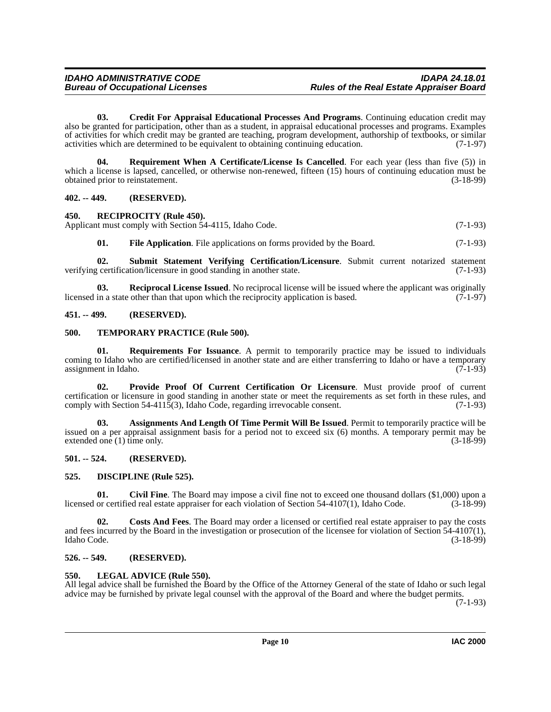<span id="page-9-11"></span>**03. Credit For Appraisal Educational Processes And Programs**. Continuing education credit may also be granted for participation, other than as a student, in appraisal educational processes and programs. Examples of activities for which credit may be granted are teaching, program development, authorship of textbooks, or similar activities which are determined to be equivalent to obtaining continuing education. (7-1-97)

<span id="page-9-18"></span>**04. Requirement When A Certificate/License Is Cancelled**. For each year (less than five (5)) in which a license is lapsed, cancelled, or otherwise non-renewed, fifteen (15) hours of continuing education must be obtained prior to reinstatement. (3-18-99)

#### <span id="page-9-0"></span>**402. -- 449. (RESERVED).**

#### <span id="page-9-17"></span><span id="page-9-1"></span>**450. RECIPROCITY (Rule 450).** Applicant must comply with Section 54-4115, Idaho Code. (7-1-93)

<span id="page-9-20"></span><span id="page-9-16"></span><span id="page-9-13"></span>**01.** File Application. File applications on forms provided by the Board. (7-1-93)

**02. Submit Statement Verifying Certification/Licensure**. Submit current notarized statement verifying certification/licensure in good standing in another state. (7-1-93)

**03. Reciprocal License Issued**. No reciprocal license will be issued where the applicant was originally in a state other than that upon which the reciprocity application is based. (7-1-97) licensed in a state other than that upon which the reciprocity application is based.

#### <span id="page-9-2"></span>**451. -- 499. (RESERVED).**

#### <span id="page-9-21"></span><span id="page-9-3"></span>**500. TEMPORARY PRACTICE (Rule 500).**

<span id="page-9-19"></span>**01. Requirements For Issuance**. A permit to temporarily practice may be issued to individuals coming to Idaho who are certified/licensed in another state and are either transferring to Idaho or have a temporary assignment in Idaho. (7-1-93)

<span id="page-9-15"></span>**02. Provide Proof Of Current Certification Or Licensure**. Must provide proof of current certification or licensure in good standing in another state or meet the requirements as set forth in these rules, and comply with Section 54-4115(3), Idaho Code, regarding irrevocable consent. (7-1-93)

<span id="page-9-8"></span>**03. Assignments And Length Of Time Permit Will Be Issued**. Permit to temporarily practice will be issued on a per appraisal assignment basis for a period not to exceed six (6) months. A temporary permit may be extended one (1) time only.  $(3-18-99)$ 

#### <span id="page-9-4"></span>**501. -- 524. (RESERVED).**

#### <span id="page-9-12"></span><span id="page-9-5"></span>**525. DISCIPLINE (Rule 525).**

<span id="page-9-9"></span>**01.** Civil Fine. The Board may impose a civil fine not to exceed one thousand dollars (\$1,000) upon a or certified real estate appraiser for each violation of Section 54-4107(1), Idaho Code. (3-18-99) licensed or certified real estate appraiser for each violation of Section 54-4107(1), Idaho Code.

<span id="page-9-10"></span>**02. Costs And Fees**. The Board may order a licensed or certified real estate appraiser to pay the costs and fees incurred by the Board in the investigation or prosecution of the licensee for violation of Section 54-4107(1), Idaho Code. (3-18-99)

#### <span id="page-9-6"></span>**526. -- 549. (RESERVED).**

#### <span id="page-9-14"></span><span id="page-9-7"></span>**550. LEGAL ADVICE (Rule 550).**

All legal advice shall be furnished the Board by the Office of the Attorney General of the state of Idaho or such legal advice may be furnished by private legal counsel with the approval of the Board and where the budget permits. (7-1-93)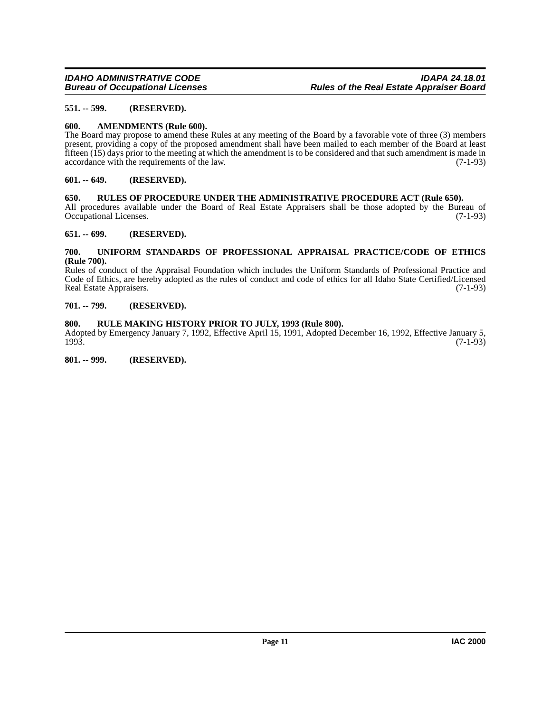#### <span id="page-10-0"></span>**551. -- 599. (RESERVED).**

#### <span id="page-10-9"></span><span id="page-10-1"></span>**600. AMENDMENTS (Rule 600).**

The Board may propose to amend these Rules at any meeting of the Board by a favorable vote of three (3) members present, providing a copy of the proposed amendment shall have been mailed to each member of the Board at least fifteen (15) days prior to the meeting at which the amendment is to be considered and that such amendment is made in accordance with the requirements of the law.  $(7-1-93)$ accordance with the requirements of the law.

#### <span id="page-10-2"></span>**601. -- 649. (RESERVED).**

#### <span id="page-10-11"></span><span id="page-10-3"></span>**650. RULES OF PROCEDURE UNDER THE ADMINISTRATIVE PROCEDURE ACT (Rule 650).**

All procedures available under the Board of Real Estate Appraisers shall be those adopted by the Bureau of Occupational Licenses. (7-1-93) Occupational Licenses.

#### <span id="page-10-4"></span>**651. -- 699. (RESERVED).**

#### <span id="page-10-12"></span><span id="page-10-5"></span>**700. UNIFORM STANDARDS OF PROFESSIONAL APPRAISAL PRACTICE/CODE OF ETHICS (Rule 700).**

Rules of conduct of the Appraisal Foundation which includes the Uniform Standards of Professional Practice and Code of Ethics, are hereby adopted as the rules of conduct and code of ethics for all Idaho State Certified/Licensed Real Estate Appraisers. (7-1-93)

#### <span id="page-10-6"></span>**701. -- 799. (RESERVED).**

#### <span id="page-10-10"></span><span id="page-10-7"></span>**800. RULE MAKING HISTORY PRIOR TO JULY, 1993 (Rule 800).**

Adopted by Emergency January 7, 1992, Effective April 15, 1991, Adopted December 16, 1992, Effective January 5, 1993. 1993. (7-1-93)

<span id="page-10-8"></span>**801. -- 999. (RESERVED).**